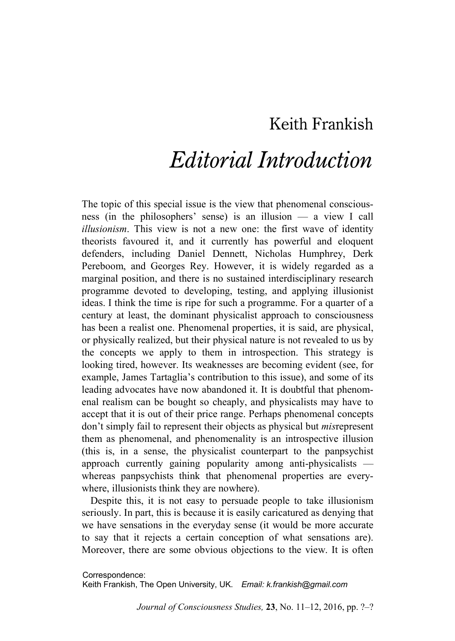## Keith Frankish

## *Editorial Introduction*

The topic of this special issue is the view that phenomenal consciousness (in the philosophers' sense) is an illusion — a view I call *illusionism*. This view is not a new one: the first wave of identity theorists favoured it, and it currently has powerful and eloquent defenders, including Daniel Dennett, Nicholas Humphrey, Derk Pereboom, and Georges Rey. However, it is widely regarded as a marginal position, and there is no sustained interdisciplinary research programme devoted to developing, testing, and applying illusionist ideas. I think the time is ripe for such a programme. For a quarter of a century at least, the dominant physicalist approach to consciousness has been a realist one. Phenomenal properties, it is said, are physical, or physically realized, but their physical nature is not revealed to us by the concepts we apply to them in introspection. This strategy is looking tired, however. Its weaknesses are becoming evident (see, for example, James Tartaglia's contribution to this issue), and some of its leading advocates have now abandoned it. It is doubtful that phenomenal realism can be bought so cheaply, and physicalists may have to accept that it is out of their price range. Perhaps phenomenal concepts don't simply fail to represent their objects as physical but *mis*represent them as phenomenal, and phenomenality is an introspective illusion (this is, in a sense, the physicalist counterpart to the panpsychist approach currently gaining popularity among anti-physicalists whereas panpsychists think that phenomenal properties are everywhere, illusionists think they are nowhere).

Despite this, it is not easy to persuade people to take illusionism seriously. In part, this is because it is easily caricatured as denying that we have sensations in the everyday sense (it would be more accurate to say that it rejects a certain conception of what sensations are). Moreover, there are some obvious objections to the view. It is often

Correspondence:

Keith Frankish, The Open University, UK. *Email: k.frankish@gmail.com*